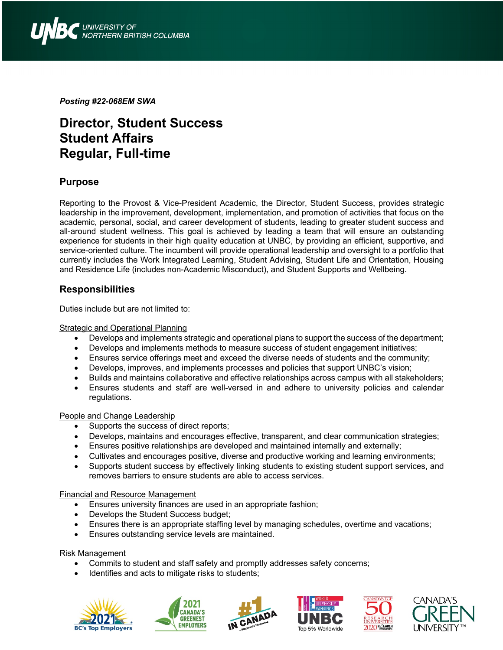

*Posting #22-068EM SWA*

# **Director, Student Success Student Affairs Regular, Full-time**

### **Purpose**

Reporting to the Provost & Vice-President Academic, the Director, Student Success, provides strategic leadership in the improvement, development, implementation, and promotion of activities that focus on the academic, personal, social, and career development of students, leading to greater student success and all-around student wellness. This goal is achieved by leading a team that will ensure an outstanding experience for students in their high quality education at UNBC, by providing an efficient, supportive, and service-oriented culture. The incumbent will provide operational leadership and oversight to a portfolio that currently includes the Work Integrated Learning, Student Advising, Student Life and Orientation, Housing and Residence Life (includes non-Academic Misconduct), and Student Supports and Wellbeing.

### **Responsibilities**

Duties include but are not limited to:

#### **Strategic and Operational Planning**

- Develops and implements strategic and operational plans to support the success of the department;
- Develops and implements methods to measure success of student engagement initiatives;
- Ensures service offerings meet and exceed the diverse needs of students and the community;
- Develops, improves, and implements processes and policies that support UNBC's vision;
- Builds and maintains collaborative and effective relationships across campus with all stakeholders;
- Ensures students and staff are well-versed in and adhere to university policies and calendar regulations.

#### People and Change Leadership

- Supports the success of direct reports;
- Develops, maintains and encourages effective, transparent, and clear communication strategies;
- Ensures positive relationships are developed and maintained internally and externally;
- Cultivates and encourages positive, diverse and productive working and learning environments;
- Supports student success by effectively linking students to existing student support services, and removes barriers to ensure students are able to access services.

#### Financial and Resource Management

- Ensures university finances are used in an appropriate fashion;
- Develops the Student Success budget;
- Ensures there is an appropriate staffing level by managing schedules, overtime and vacations;
- Ensures outstanding service levels are maintained.

#### Risk Management

- Commits to student and staff safety and promptly addresses safety concerns;
- Identifies and acts to mitigate risks to students;











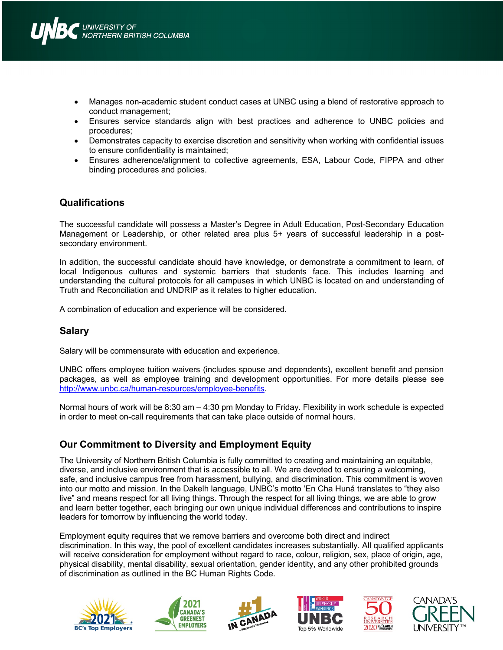- Manages non-academic student conduct cases at UNBC using a blend of restorative approach to conduct management;
- Ensures service standards align with best practices and adherence to UNBC policies and procedures;
- Demonstrates capacity to exercise discretion and sensitivity when working with confidential issues to ensure confidentiality is maintained;
- Ensures adherence/alignment to collective agreements, ESA, Labour Code, FIPPA and other binding procedures and policies.

### **Qualifications**

The successful candidate will possess a Master's Degree in Adult Education, Post-Secondary Education Management or Leadership, or other related area plus 5+ years of successful leadership in a postsecondary environment.

In addition, the successful candidate should have knowledge, or demonstrate a commitment to learn, of local Indigenous cultures and systemic barriers that students face. This includes learning and understanding the cultural protocols for all campuses in which UNBC is located on and understanding of Truth and Reconciliation and UNDRIP as it relates to higher education.

A combination of education and experience will be considered.

### **Salary**

Salary will be commensurate with education and experience.

UNBC offers employee tuition waivers (includes spouse and dependents), excellent benefit and pension packages, as well as employee training and development opportunities. For more details please see http://www.unbc.ca/human-resources/employee-benefits.

Normal hours of work will be 8:30 am – 4:30 pm Monday to Friday. Flexibility in work schedule is expected in order to meet on-call requirements that can take place outside of normal hours.

# **Our Commitment to Diversity and Employment Equity**

The University of Northern British Columbia is fully committed to creating and maintaining an equitable, diverse, and inclusive environment that is accessible to all. We are devoted to ensuring a welcoming, safe, and inclusive campus free from harassment, bullying, and discrimination. This commitment is woven into our motto and mission. In the Dakelh language, UNBC's motto 'En Cha Huná translates to "they also live" and means respect for all living things. Through the respect for all living things, we are able to grow and learn better together, each bringing our own unique individual differences and contributions to inspire leaders for tomorrow by influencing the world today.

Employment equity requires that we remove barriers and overcome both direct and indirect discrimination. In this way, the pool of excellent candidates increases substantially. All qualified applicants will receive consideration for employment without regard to race, colour, religion, sex, place of origin, age, physical disability, mental disability, sexual orientation, gender identity, and any other prohibited grounds of discrimination as outlined in the BC Human Rights Code.